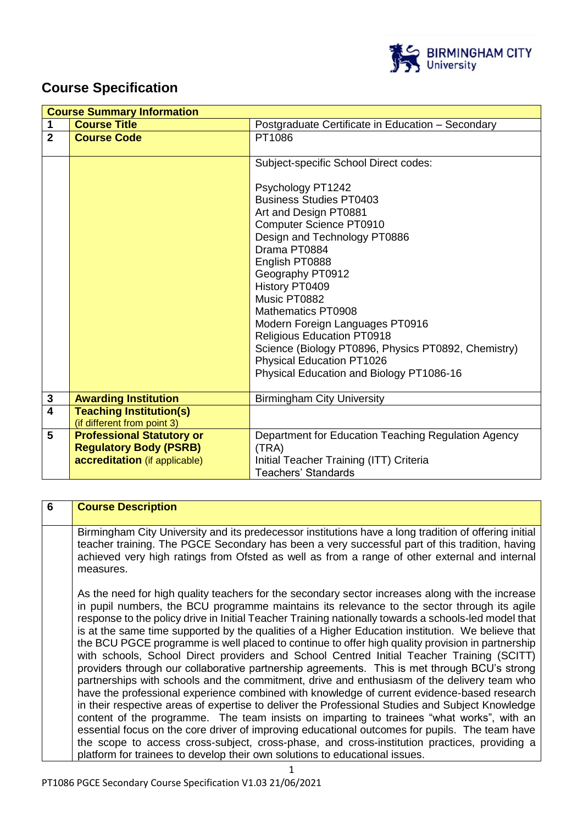

# **Course Specification**

|                | <b>Course Summary Information</b>                                 |                                                                                                                                                                                                                                                                                                                                                                                                                                                                                                                      |  |
|----------------|-------------------------------------------------------------------|----------------------------------------------------------------------------------------------------------------------------------------------------------------------------------------------------------------------------------------------------------------------------------------------------------------------------------------------------------------------------------------------------------------------------------------------------------------------------------------------------------------------|--|
| 1              | <b>Course Title</b>                                               | Postgraduate Certificate in Education - Secondary                                                                                                                                                                                                                                                                                                                                                                                                                                                                    |  |
| $\overline{2}$ | <b>Course Code</b>                                                | PT1086                                                                                                                                                                                                                                                                                                                                                                                                                                                                                                               |  |
|                |                                                                   | Subject-specific School Direct codes:<br>Psychology PT1242<br><b>Business Studies PT0403</b><br>Art and Design PT0881<br><b>Computer Science PT0910</b><br>Design and Technology PT0886<br>Drama PT0884<br>English PT0888<br>Geography PT0912<br>History PT0409<br>Music PT0882<br><b>Mathematics PT0908</b><br>Modern Foreign Languages PT0916<br><b>Religious Education PT0918</b><br>Science (Biology PT0896, Physics PT0892, Chemistry)<br>Physical Education PT1026<br>Physical Education and Biology PT1086-16 |  |
| $\mathbf{3}$   | <b>Awarding Institution</b>                                       | <b>Birmingham City University</b>                                                                                                                                                                                                                                                                                                                                                                                                                                                                                    |  |
| $\overline{4}$ | <b>Teaching Institution(s)</b><br>(if different from point 3)     |                                                                                                                                                                                                                                                                                                                                                                                                                                                                                                                      |  |
| 5              | <b>Professional Statutory or</b><br><b>Regulatory Body (PSRB)</b> | Department for Education Teaching Regulation Agency<br>(TRA)                                                                                                                                                                                                                                                                                                                                                                                                                                                         |  |
|                | accreditation (if applicable)                                     | Initial Teacher Training (ITT) Criteria<br><b>Teachers' Standards</b>                                                                                                                                                                                                                                                                                                                                                                                                                                                |  |

| 6 | <b>Course Description</b>                                                                                                                                                                                                                                                                                                                                                                                                                                                                                                                                                                                                                                                                                                                                                                                                                                                                                                                                                                                                                                                                                                                                                                                                                                                                                                                                                                     |
|---|-----------------------------------------------------------------------------------------------------------------------------------------------------------------------------------------------------------------------------------------------------------------------------------------------------------------------------------------------------------------------------------------------------------------------------------------------------------------------------------------------------------------------------------------------------------------------------------------------------------------------------------------------------------------------------------------------------------------------------------------------------------------------------------------------------------------------------------------------------------------------------------------------------------------------------------------------------------------------------------------------------------------------------------------------------------------------------------------------------------------------------------------------------------------------------------------------------------------------------------------------------------------------------------------------------------------------------------------------------------------------------------------------|
|   | Birmingham City University and its predecessor institutions have a long tradition of offering initial<br>teacher training. The PGCE Secondary has been a very successful part of this tradition, having<br>achieved very high ratings from Ofsted as well as from a range of other external and internal<br>measures.                                                                                                                                                                                                                                                                                                                                                                                                                                                                                                                                                                                                                                                                                                                                                                                                                                                                                                                                                                                                                                                                         |
|   | As the need for high quality teachers for the secondary sector increases along with the increase<br>in pupil numbers, the BCU programme maintains its relevance to the sector through its agile<br>response to the policy drive in Initial Teacher Training nationally towards a schools-led model that<br>is at the same time supported by the qualities of a Higher Education institution. We believe that<br>the BCU PGCE programme is well placed to continue to offer high quality provision in partnership<br>with schools, School Direct providers and School Centred Initial Teacher Training (SCITT)<br>providers through our collaborative partnership agreements. This is met through BCU's strong<br>partnerships with schools and the commitment, drive and enthusiasm of the delivery team who<br>have the professional experience combined with knowledge of current evidence-based research<br>in their respective areas of expertise to deliver the Professional Studies and Subject Knowledge<br>content of the programme. The team insists on imparting to trainees "what works", with an<br>essential focus on the core driver of improving educational outcomes for pupils. The team have<br>the scope to access cross-subject, cross-phase, and cross-institution practices, providing a<br>platform for trainees to develop their own solutions to educational issues. |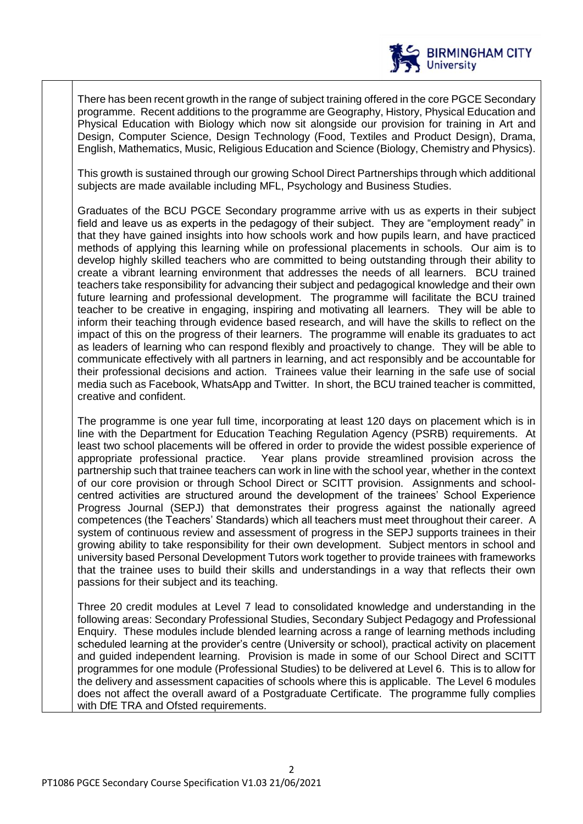

There has been recent growth in the range of subject training offered in the core PGCE Secondary programme. Recent additions to the programme are Geography, History, Physical Education and Physical Education with Biology which now sit alongside our provision for training in Art and Design, Computer Science, Design Technology (Food, Textiles and Product Design), Drama, English, Mathematics, Music, Religious Education and Science (Biology, Chemistry and Physics).

This growth is sustained through our growing School Direct Partnerships through which additional subjects are made available including MFL, Psychology and Business Studies.

Graduates of the BCU PGCE Secondary programme arrive with us as experts in their subject field and leave us as experts in the pedagogy of their subject. They are "employment ready" in that they have gained insights into how schools work and how pupils learn, and have practiced methods of applying this learning while on professional placements in schools. Our aim is to develop highly skilled teachers who are committed to being outstanding through their ability to create a vibrant learning environment that addresses the needs of all learners. BCU trained teachers take responsibility for advancing their subject and pedagogical knowledge and their own future learning and professional development. The programme will facilitate the BCU trained teacher to be creative in engaging, inspiring and motivating all learners. They will be able to inform their teaching through evidence based research, and will have the skills to reflect on the impact of this on the progress of their learners. The programme will enable its graduates to act as leaders of learning who can respond flexibly and proactively to change. They will be able to communicate effectively with all partners in learning, and act responsibly and be accountable for their professional decisions and action. Trainees value their learning in the safe use of social media such as Facebook, WhatsApp and Twitter. In short, the BCU trained teacher is committed, creative and confident.

The programme is one year full time, incorporating at least 120 days on placement which is in line with the Department for Education Teaching Regulation Agency (PSRB) requirements. At least two school placements will be offered in order to provide the widest possible experience of appropriate professional practice. Year plans provide streamlined provision across the partnership such that trainee teachers can work in line with the school year, whether in the context of our core provision or through School Direct or SCITT provision. Assignments and schoolcentred activities are structured around the development of the trainees' School Experience Progress Journal (SEPJ) that demonstrates their progress against the nationally agreed competences (the Teachers' Standards) which all teachers must meet throughout their career. A system of continuous review and assessment of progress in the SEPJ supports trainees in their growing ability to take responsibility for their own development. Subject mentors in school and university based Personal Development Tutors work together to provide trainees with frameworks that the trainee uses to build their skills and understandings in a way that reflects their own passions for their subject and its teaching.

Three 20 credit modules at Level 7 lead to consolidated knowledge and understanding in the following areas: Secondary Professional Studies, Secondary Subject Pedagogy and Professional Enquiry. These modules include blended learning across a range of learning methods including scheduled learning at the provider's centre (University or school), practical activity on placement and guided independent learning. Provision is made in some of our School Direct and SCITT programmes for one module (Professional Studies) to be delivered at Level 6. This is to allow for the delivery and assessment capacities of schools where this is applicable. The Level 6 modules does not affect the overall award of a Postgraduate Certificate. The programme fully complies with DfE TRA and Ofsted requirements.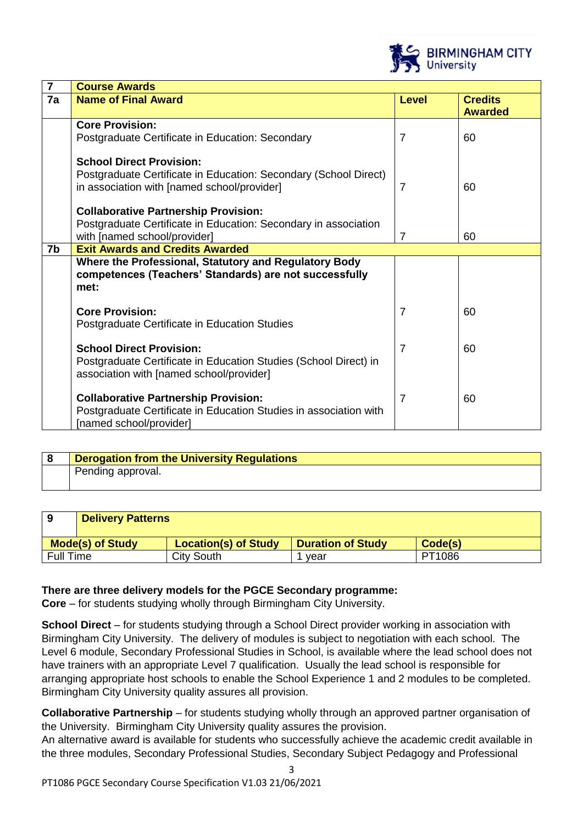

| $\overline{7}$ | <b>Course Awards</b>                                              |                |                |
|----------------|-------------------------------------------------------------------|----------------|----------------|
| 7a             | <b>Name of Final Award</b>                                        | <b>Level</b>   | <b>Credits</b> |
|                |                                                                   |                | <b>Awarded</b> |
|                | <b>Core Provision:</b>                                            |                |                |
|                | Postgraduate Certificate in Education: Secondary                  | 7              | 60             |
|                |                                                                   |                |                |
|                | <b>School Direct Provision:</b>                                   |                |                |
|                | Postgraduate Certificate in Education: Secondary (School Direct)  |                |                |
|                | in association with [named school/provider]                       | 7              | 60             |
|                | <b>Collaborative Partnership Provision:</b>                       |                |                |
|                |                                                                   |                |                |
|                | Postgraduate Certificate in Education: Secondary in association   |                |                |
|                | with [named school/provider]                                      | $\overline{7}$ | 60             |
| 7b             | <b>Exit Awards and Credits Awarded</b>                            |                |                |
|                | Where the Professional, Statutory and Regulatory Body             |                |                |
|                | competences (Teachers' Standards) are not successfully            |                |                |
|                | met:                                                              |                |                |
|                |                                                                   |                |                |
|                | <b>Core Provision:</b>                                            | $\overline{7}$ | 60             |
|                | Postgraduate Certificate in Education Studies                     |                |                |
|                | <b>School Direct Provision:</b>                                   | $\overline{7}$ | 60             |
|                |                                                                   |                |                |
|                | Postgraduate Certificate in Education Studies (School Direct) in  |                |                |
|                | association with [named school/provider]                          |                |                |
|                | <b>Collaborative Partnership Provision:</b>                       | $\overline{7}$ | 60             |
|                | Postgraduate Certificate in Education Studies in association with |                |                |
|                | [named school/provider]                                           |                |                |
|                |                                                                   |                |                |

| Derogation from the University Regulations |
|--------------------------------------------|
| Pending approval.                          |

| 9                       | <b>Delivery Patterns</b> |                             |                          |         |
|-------------------------|--------------------------|-----------------------------|--------------------------|---------|
| <b>Mode(s) of Study</b> |                          | <b>Location(s) of Study</b> | <b>Duration of Study</b> | Code(s) |
| <b>Full Time</b>        |                          | City South                  | vear                     | PT1086  |

## **There are three delivery models for the PGCE Secondary programme:**

**Core** – for students studying wholly through Birmingham City University.

**School Direct** – for students studying through a School Direct provider working in association with Birmingham City University. The delivery of modules is subject to negotiation with each school. The Level 6 module, Secondary Professional Studies in School, is available where the lead school does not have trainers with an appropriate Level 7 qualification. Usually the lead school is responsible for arranging appropriate host schools to enable the School Experience 1 and 2 modules to be completed. Birmingham City University quality assures all provision.

**Collaborative Partnership** – for students studying wholly through an approved partner organisation of the University. Birmingham City University quality assures the provision.

An alternative award is available for students who successfully achieve the academic credit available in the three modules, Secondary Professional Studies, Secondary Subject Pedagogy and Professional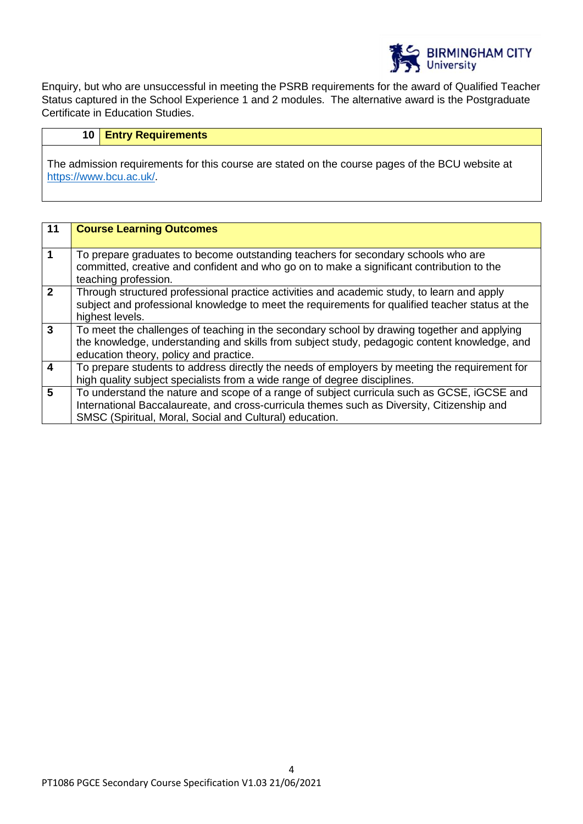

Enquiry, but who are unsuccessful in meeting the PSRB requirements for the award of Qualified Teacher Status captured in the School Experience 1 and 2 modules. The alternative award is the Postgraduate Certificate in Education Studies.

# **10 Entry Requirements**

The admission requirements for this course are stated on the course pages of the BCU website at <https://www.bcu.ac.uk/>.

| 11                      | <b>Course Learning Outcomes</b>                                                                 |
|-------------------------|-------------------------------------------------------------------------------------------------|
|                         |                                                                                                 |
| $\overline{1}$          | To prepare graduates to become outstanding teachers for secondary schools who are               |
|                         | committed, creative and confident and who go on to make a significant contribution to the       |
|                         | teaching profession.                                                                            |
| $\overline{2}$          | Through structured professional practice activities and academic study, to learn and apply      |
|                         |                                                                                                 |
|                         | subject and professional knowledge to meet the requirements for qualified teacher status at the |
|                         | highest levels.                                                                                 |
| $\mathbf{3}$            | To meet the challenges of teaching in the secondary school by drawing together and applying     |
|                         | the knowledge, understanding and skills from subject study, pedagogic content knowledge, and    |
|                         | education theory, policy and practice.                                                          |
| $\overline{4}$          | To prepare students to address directly the needs of employers by meeting the requirement for   |
|                         |                                                                                                 |
|                         | high quality subject specialists from a wide range of degree disciplines.                       |
| $\overline{\mathbf{5}}$ | To understand the nature and scope of a range of subject curricula such as GCSE, iGCSE and      |
|                         | International Baccalaureate, and cross-curricula themes such as Diversity, Citizenship and      |
|                         | SMSC (Spiritual, Moral, Social and Cultural) education.                                         |
|                         |                                                                                                 |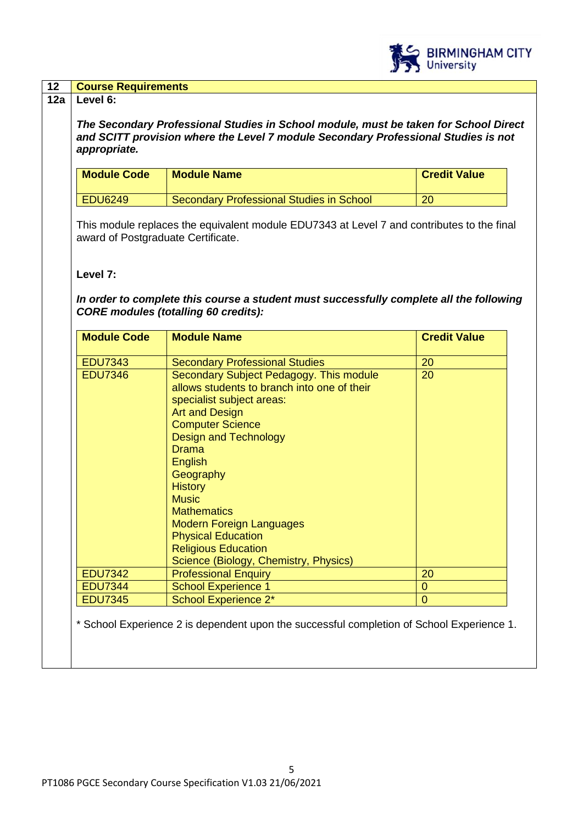

| <b>Module Code</b>               | <b>Module Name</b>                                                                                                                                                                                                                                                                             | <b>Credit Value</b> |
|----------------------------------|------------------------------------------------------------------------------------------------------------------------------------------------------------------------------------------------------------------------------------------------------------------------------------------------|---------------------|
|                                  |                                                                                                                                                                                                                                                                                                |                     |
| <b>EDU6249</b>                   | Secondary Professional Studies in School                                                                                                                                                                                                                                                       | 20                  |
| Level 7:                         | In order to complete this course a student must successfully complete all the following<br><b>CORE modules (totalling 60 credits):</b>                                                                                                                                                         |                     |
| <b>Module Code</b>               | <b>Module Name</b>                                                                                                                                                                                                                                                                             | <b>Credit Value</b> |
| <b>EDU7343</b>                   | <b>Secondary Professional Studies</b>                                                                                                                                                                                                                                                          | 20                  |
| <b>EDU7346</b>                   | Secondary Subject Pedagogy. This module<br>allows students to branch into one of their<br>specialist subject areas:<br><b>Art and Design</b>                                                                                                                                                   | 20                  |
|                                  | <b>Computer Science</b><br><b>Design and Technology</b><br><b>Drama</b><br>English<br>Geography<br><b>History</b><br><b>Music</b><br><b>Mathematics</b><br><b>Modern Foreign Languages</b><br><b>Physical Education</b><br><b>Religious Education</b><br>Science (Biology, Chemistry, Physics) |                     |
| <b>EDU7342</b>                   | <b>Professional Enquiry</b>                                                                                                                                                                                                                                                                    | 20                  |
| <b>EDU7344</b><br><b>EDU7345</b> | <b>School Experience 1</b>                                                                                                                                                                                                                                                                     | $\overline{0}$      |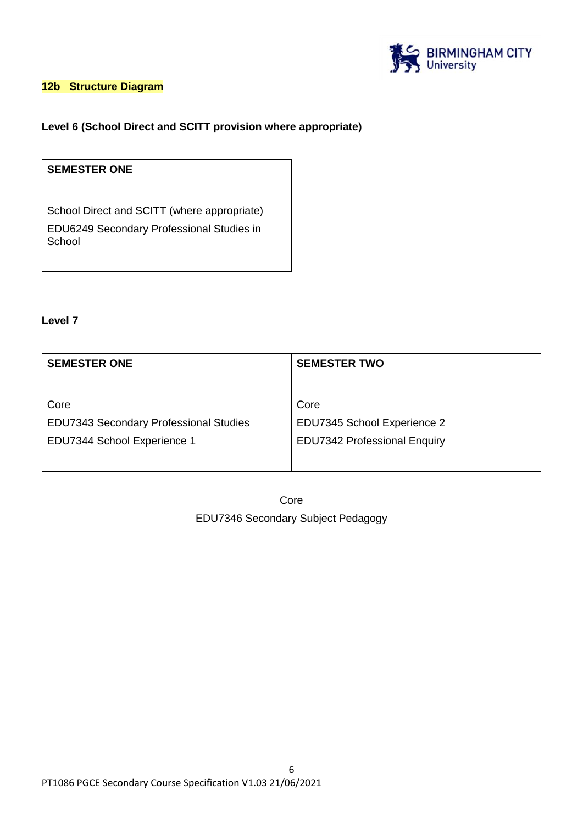

## **12b Structure Diagram**

## **Level 6 (School Direct and SCITT provision where appropriate)**

# **SEMESTER ONE**

School Direct and SCITT (where appropriate) EDU6249 Secondary Professional Studies in School

## **Level 7**

| <b>SEMESTER ONE</b>                    | <b>SEMESTER TWO</b>                 |
|----------------------------------------|-------------------------------------|
|                                        |                                     |
| Core                                   | Core                                |
| EDU7343 Secondary Professional Studies | EDU7345 School Experience 2         |
| EDU7344 School Experience 1            | <b>EDU7342 Professional Enquiry</b> |
|                                        |                                     |
|                                        |                                     |
| Core                                   |                                     |
| EDU7346 Secondary Subject Pedagogy     |                                     |
|                                        |                                     |